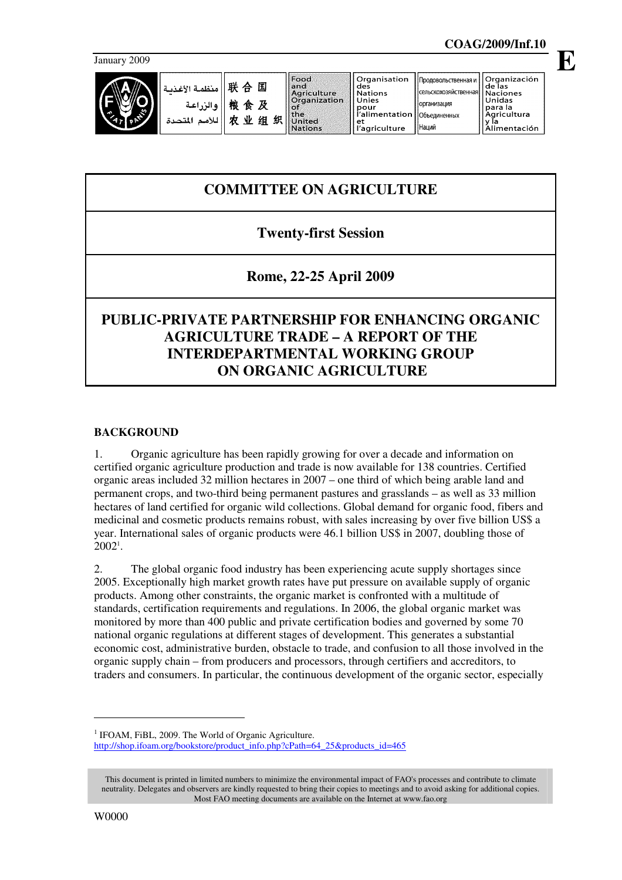January 2009



Наций

# **COMMITTEE ON AGRICULTURE**

## **Twenty-first Session**

## **Rome, 22-25 April 2009**

# **PUBLIC-PRIVATE PARTNERSHIP FOR ENHANCING ORGANIC AGRICULTURE TRADE – A REPORT OF THE INTERDEPARTMENTAL WORKING GROUP ON ORGANIC AGRICULTURE**

#### **BACKGROUND**

1. Organic agriculture has been rapidly growing for over a decade and information on certified organic agriculture production and trade is now available for 138 countries. Certified organic areas included 32 million hectares in 2007 – one third of which being arable land and permanent crops, and two-third being permanent pastures and grasslands – as well as 33 million hectares of land certified for organic wild collections. Global demand for organic food, fibers and medicinal and cosmetic products remains robust, with sales increasing by over five billion US\$ a year. International sales of organic products were 46.1 billion US\$ in 2007, doubling those of  $2002^{\rm 1}$ .

2. The global organic food industry has been experiencing acute supply shortages since 2005. Exceptionally high market growth rates have put pressure on available supply of organic products. Among other constraints, the organic market is confronted with a multitude of standards, certification requirements and regulations. In 2006, the global organic market was monitored by more than 400 public and private certification bodies and governed by some 70 national organic regulations at different stages of development. This generates a substantial economic cost, administrative burden, obstacle to trade, and confusion to all those involved in the organic supply chain – from producers and processors, through certifiers and accreditors, to traders and consumers. In particular, the continuous development of the organic sector, especially

 $\ddot{\phantom{a}}$ 

**E**

<sup>&</sup>lt;sup>1</sup> IFOAM, FiBL, 2009. The World of Organic Agriculture.

http://shop.ifoam.org/bookstore/product\_info.php?cPath=64\_25&products\_id=465

This document is printed in limited numbers to minimize the environmental impact of FAO's processes and contribute to climate neutrality. Delegates and observers are kindly requested to bring their copies to meetings and to avoid asking for additional copies. Most FAO meeting documents are available on the Internet at www.fao.org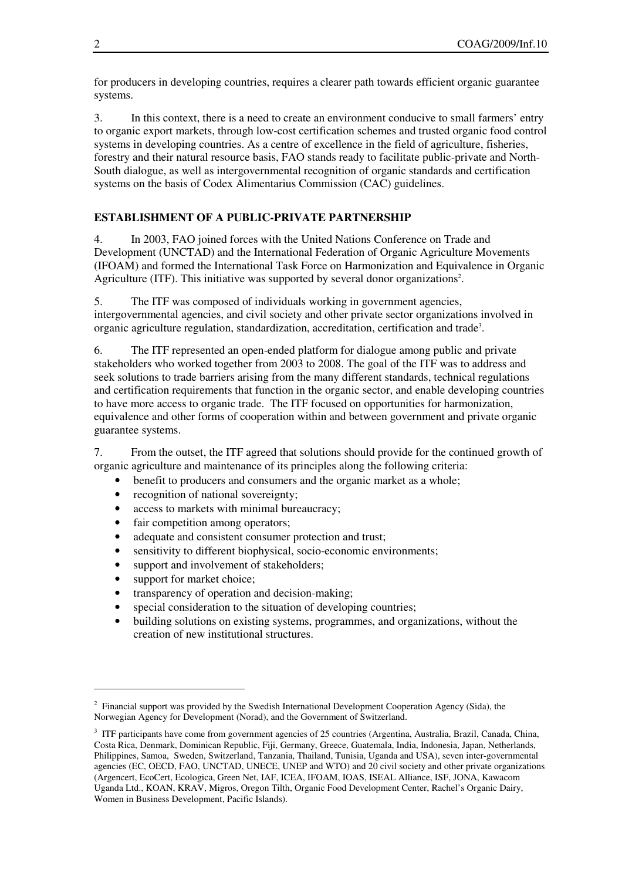for producers in developing countries, requires a clearer path towards efficient organic guarantee systems.

3. In this context, there is a need to create an environment conducive to small farmers' entry to organic export markets, through low-cost certification schemes and trusted organic food control systems in developing countries. As a centre of excellence in the field of agriculture, fisheries, forestry and their natural resource basis, FAO stands ready to facilitate public-private and North-South dialogue, as well as intergovernmental recognition of organic standards and certification systems on the basis of Codex Alimentarius Commission (CAC) guidelines.

### **ESTABLISHMENT OF A PUBLIC-PRIVATE PARTNERSHIP**

4. In 2003, FAO joined forces with the United Nations Conference on Trade and Development (UNCTAD) and the International Federation of Organic Agriculture Movements (IFOAM) and formed the International Task Force on Harmonization and Equivalence in Organic Agriculture (ITF). This initiative was supported by several donor organizations<sup>2</sup>.

5. The ITF was composed of individuals working in government agencies, intergovernmental agencies, and civil society and other private sector organizations involved in organic agriculture regulation, standardization, accreditation, certification and trade<sup>3</sup>.

6. The ITF represented an open-ended platform for dialogue among public and private stakeholders who worked together from 2003 to 2008. The goal of the ITF was to address and seek solutions to trade barriers arising from the many different standards, technical regulations and certification requirements that function in the organic sector, and enable developing countries to have more access to organic trade. The ITF focused on opportunities for harmonization, equivalence and other forms of cooperation within and between government and private organic guarantee systems.

7. From the outset, the ITF agreed that solutions should provide for the continued growth of organic agriculture and maintenance of its principles along the following criteria:

- benefit to producers and consumers and the organic market as a whole:
- recognition of national sovereignty;
- access to markets with minimal bureaucracy;
- fair competition among operators;
- adequate and consistent consumer protection and trust;
- sensitivity to different biophysical, socio-economic environments;
- support and involvement of stakeholders;
- support for market choice;

 $\ddot{\phantom{a}}$ 

- transparency of operation and decision-making;
- special consideration to the situation of developing countries;
- building solutions on existing systems, programmes, and organizations, without the creation of new institutional structures.

<sup>&</sup>lt;sup>2</sup> Financial support was provided by the Swedish International Development Cooperation Agency (Sida), the Norwegian Agency for Development (Norad), and the Government of Switzerland.

<sup>&</sup>lt;sup>3</sup> ITF participants have come from government agencies of 25 countries (Argentina, Australia, Brazil, Canada, China, Costa Rica, Denmark, Dominican Republic, Fiji, Germany, Greece, Guatemala, India, Indonesia, Japan, Netherlands, Philippines, Samoa, Sweden, Switzerland, Tanzania, Thailand, Tunisia, Uganda and USA), seven inter-governmental agencies (EC, OECD, FAO, UNCTAD, UNECE, UNEP and WTO) and 20 civil society and other private organizations (Argencert, EcoCert, Ecologica, Green Net, IAF, ICEA, IFOAM, IOAS, ISEAL Alliance, ISF, JONA, Kawacom Uganda Ltd., KOAN, KRAV, Migros, Oregon Tilth, Organic Food Development Center, Rachel's Organic Dairy, Women in Business Development, Pacific Islands).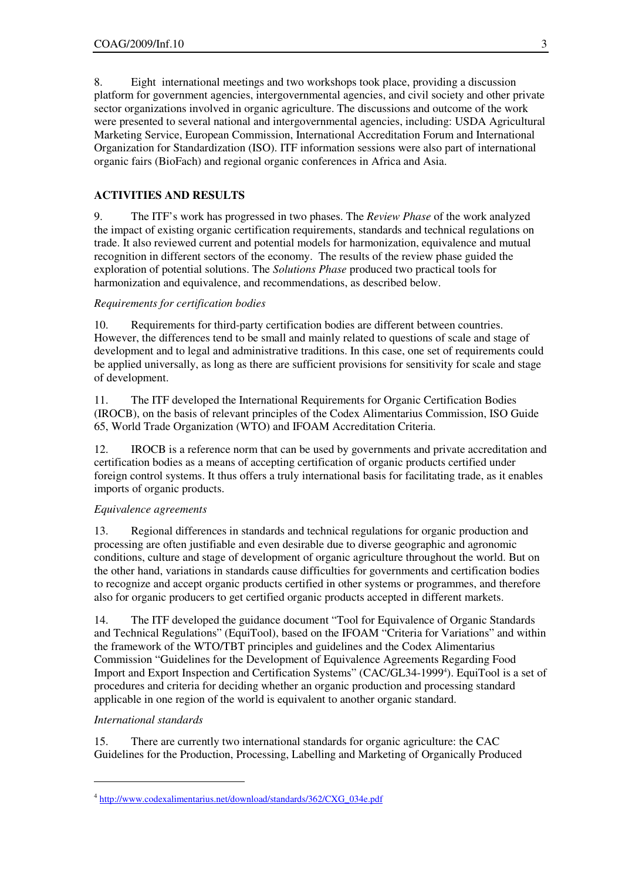8. Eight international meetings and two workshops took place, providing a discussion platform for government agencies, intergovernmental agencies, and civil society and other private sector organizations involved in organic agriculture. The discussions and outcome of the work were presented to several national and intergovernmental agencies, including: USDA Agricultural Marketing Service, European Commission, International Accreditation Forum and International Organization for Standardization (ISO). ITF information sessions were also part of international organic fairs (BioFach) and regional organic conferences in Africa and Asia.

### **ACTIVITIES AND RESULTS**

9. The ITF's work has progressed in two phases. The *Review Phase* of the work analyzed the impact of existing organic certification requirements, standards and technical regulations on trade. It also reviewed current and potential models for harmonization, equivalence and mutual recognition in different sectors of the economy. The results of the review phase guided the exploration of potential solutions. The *Solutions Phase* produced two practical tools for harmonization and equivalence, and recommendations, as described below.

#### *Requirements for certification bodies*

10. Requirements for third-party certification bodies are different between countries. However, the differences tend to be small and mainly related to questions of scale and stage of development and to legal and administrative traditions. In this case, one set of requirements could be applied universally, as long as there are sufficient provisions for sensitivity for scale and stage of development.

11. The ITF developed the International Requirements for Organic Certification Bodies (IROCB), on the basis of relevant principles of the Codex Alimentarius Commission, ISO Guide 65, World Trade Organization (WTO) and IFOAM Accreditation Criteria.

12. IROCB is a reference norm that can be used by governments and private accreditation and certification bodies as a means of accepting certification of organic products certified under foreign control systems. It thus offers a truly international basis for facilitating trade, as it enables imports of organic products.

#### *Equivalence agreements*

13. Regional differences in standards and technical regulations for organic production and processing are often justifiable and even desirable due to diverse geographic and agronomic conditions, culture and stage of development of organic agriculture throughout the world. But on the other hand, variations in standards cause difficulties for governments and certification bodies to recognize and accept organic products certified in other systems or programmes, and therefore also for organic producers to get certified organic products accepted in different markets.

14. The ITF developed the guidance document "Tool for Equivalence of Organic Standards and Technical Regulations" (EquiTool), based on the IFOAM "Criteria for Variations" and within the framework of the WTO/TBT principles and guidelines and the Codex Alimentarius Commission "Guidelines for the Development of Equivalence Agreements Regarding Food Import and Export Inspection and Certification Systems" (CAC/GL34-1999<sup>4</sup>). EquiTool is a set of procedures and criteria for deciding whether an organic production and processing standard applicable in one region of the world is equivalent to another organic standard.

#### *International standards*

 $\overline{a}$ 

15. There are currently two international standards for organic agriculture: the CAC Guidelines for the Production, Processing, Labelling and Marketing of Organically Produced

<sup>&</sup>lt;sup>4</sup> http://www.codexalimentarius.net/download/standards/362/CXG\_034e.pdf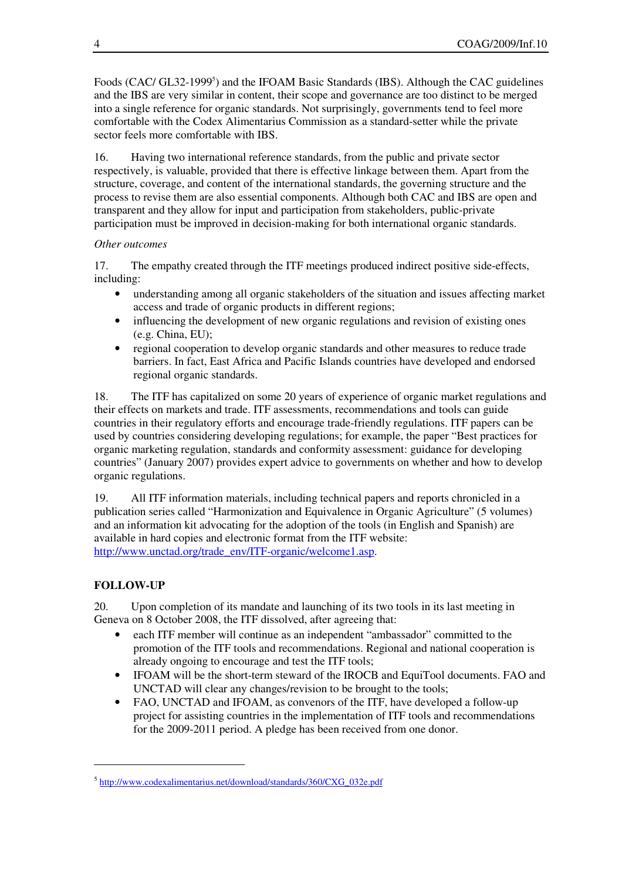Foods (CAC/ GL32-1999<sup>5</sup>) and the IFOAM Basic Standards (IBS). Although the CAC guidelines and the IBS are very similar in content, their scope and governance are too distinct to be merged into a single reference for organic standards. Not surprisingly, governments tend to feel more comfortable with the Codex Alimentarius Commission as a standard-setter while the private sector feels more comfortable with IBS.

16. Having two international reference standards, from the public and private sector respectively, is valuable, provided that there is effective linkage between them. Apart from the structure, coverage, and content of the international standards, the governing structure and the process to revise them are also essential components. Although both CAC and IBS are open and transparent and they allow for input and participation from stakeholders, public-private participation must be improved in decision-making for both international organic standards.

#### *Other outcomes*

17. The empathy created through the ITF meetings produced indirect positive side-effects, including:

- understanding among all organic stakeholders of the situation and issues affecting market access and trade of organic products in different regions;
- influencing the development of new organic regulations and revision of existing ones (e.g. China, EU);
- regional cooperation to develop organic standards and other measures to reduce trade barriers. In fact, East Africa and Pacific Islands countries have developed and endorsed regional organic standards.

18. The ITF has capitalized on some 20 years of experience of organic market regulations and their effects on markets and trade. ITF assessments, recommendations and tools can guide countries in their regulatory efforts and encourage trade-friendly regulations. ITF papers can be used by countries considering developing regulations; for example, the paper "Best practices for organic marketing regulation, standards and conformity assessment: guidance for developing countries" (January 2007) provides expert advice to governments on whether and how to develop organic regulations.

19. All ITF information materials, including technical papers and reports chronicled in a publication series called "Harmonization and Equivalence in Organic Agriculture" (5 volumes) and an information kit advocating for the adoption of the tools (in English and Spanish) are available in hard copies and electronic format from the ITF website: http://www.unctad.org/trade\_env/ITF-organic/welcome1.asp.

### **FOLLOW-UP**

 $\overline{a}$ 

20. Upon completion of its mandate and launching of its two tools in its last meeting in Geneva on 8 October 2008, the ITF dissolved, after agreeing that:

- each ITF member will continue as an independent "ambassador" committed to the promotion of the ITF tools and recommendations. Regional and national cooperation is already ongoing to encourage and test the ITF tools;
- IFOAM will be the short-term steward of the IROCB and EquiTool documents. FAO and UNCTAD will clear any changes/revision to be brought to the tools;
- FAO, UNCTAD and IFOAM, as convenors of the ITF, have developed a follow-up project for assisting countries in the implementation of ITF tools and recommendations for the 2009-2011 period. A pledge has been received from one donor.

<sup>&</sup>lt;sup>5</sup> http://www.codexalimentarius.net/download/standards/360/CXG\_032e.pdf